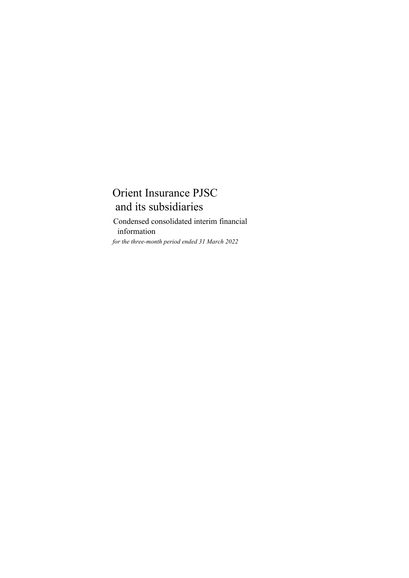*for the three-month period ended 31 March 2022* Condensed consolidated interim financial information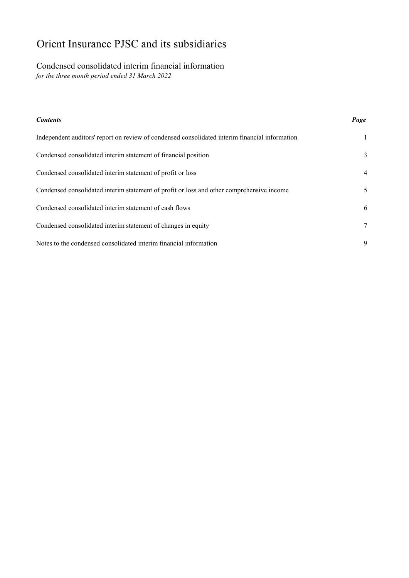# Condensed consolidated interim financial information

*for the three month period ended 31 March 2022*

| <b>Contents</b>                                                                                | Page |
|------------------------------------------------------------------------------------------------|------|
| Independent auditors' report on review of condensed consolidated interim financial information | 1    |
| Condensed consolidated interim statement of financial position                                 | 3    |
| Condensed consolidated interim statement of profit or loss                                     | 4    |
| Condensed consolidated interim statement of profit or loss and other comprehensive income      | 5    |
| Condensed consolidated interim statement of cash flows                                         | 6    |
| Condensed consolidated interim statement of changes in equity                                  | 7    |
| Notes to the condensed consolidated interim financial information                              | 9    |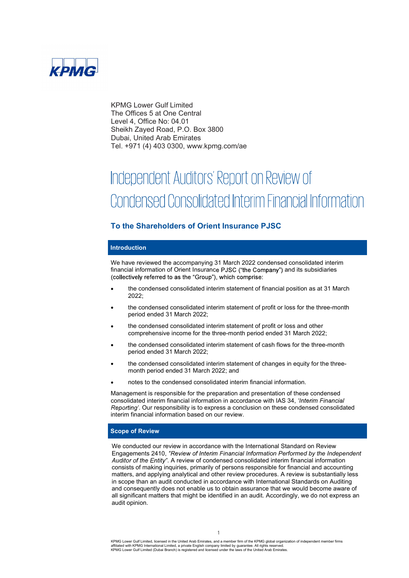

KPMG Lower Gulf Limited The Offices 5 at One Central Level 4, Office No: 04.01 Sheikh Zayed Road, P.O. Box 3800 Dubai, United Arab Emirates Tel. +971 (4) 403 0300, www.kpmg.com/ae

# Independent Auditors' Report on Review of Condensed Consolidated Interim Financial Information

# To the Shareholders of Orient Insurance PJSC

## Introduction

We have reviewed the accompanying 31 March 2022 condensed consolidated interim financial information of Orient Insurance PJSC ("the Company") and its subsidiaries (collectively referred to as the "Group"), which comprise:

- the condensed consolidated interim statement of financial position as at 31 March 2022;
- the condensed consolidated interim statement of profit or loss for the three-month period ended 31 March 2022;
- the condensed consolidated interim statement of profit or loss and other comprehensive income for the three-month period ended 31 March 2022;
- the condensed consolidated interim statement of cash flows for the three-month period ended 31 March 2022;
- the condensed consolidated interim statement of changes in equity for the threemonth period ended 31 March 2022; and
- notes to the condensed consolidated interim financial information.

Management is responsible for the preparation and presentation of these condensed consolidated interim financial information in accordance with IAS 34, 'Interim Financial Reporting'. Our responsibility is to express a conclusion on these condensed consolidated interim financial information based on our review.

# Scope of Review

We conducted our review in accordance with the International Standard on Review Engagements 2410, "Review of Interim Financial Information Performed by the Independent Auditor of the Entity". A review of condensed consolidated interim financial information consists of making inquiries, primarily of persons responsible for financial and accounting matters, and applying analytical and other review procedures. A review is substantially less in scope than an audit conducted in accordance with International Standards on Auditing and consequently does not enable us to obtain assurance that we would become aware of all significant matters that might be identified in an audit. Accordingly, we do not express an audit opinion.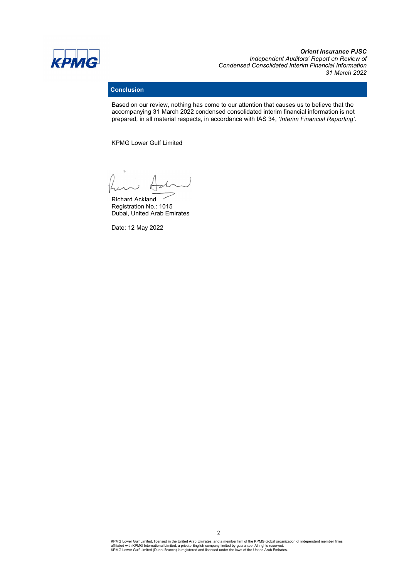

**Orient Insurance PJSC**<br>Independent Auditors' Report on Review of Condensed Consolidated Interim Financial Information 31 March 2022

# **Conclusion**

Based on our review, nothing has come to our attention that causes us to believe that the accompanying 31 March 2022 condensed consolidated interim financial information is not prepared, in all material respects, in accordance with IAS 34, 'Interim Financial Reporting'.

KPMG Lower Gulf Limited

Richard Ackland Registration No.: 1015 Dubai, United Arab Emirates

Date: 12 May 2022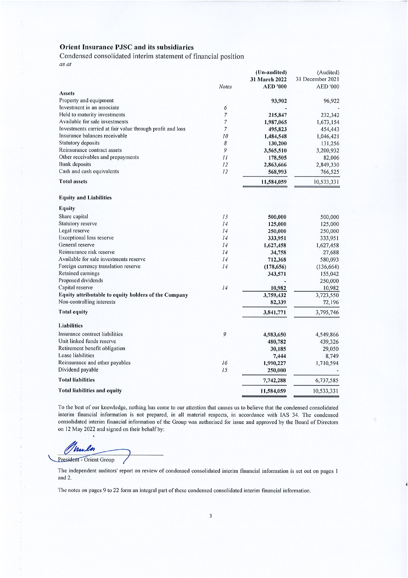Condensed consolidated interim statement of financial position as at

|                                                           |                | (Un-audited)    | (Audited)        |
|-----------------------------------------------------------|----------------|-----------------|------------------|
|                                                           |                | 31 March 2022   | 31 December 2021 |
|                                                           | <b>Notes</b>   | <b>AED '000</b> | <b>AED '000</b>  |
| Assets                                                    |                |                 |                  |
| Property and equipment                                    |                | 93,902          | 96,922           |
| Investment in an associate                                | 6              |                 |                  |
| Held to maturity investments                              | $\overline{7}$ | 215,847         | 232,342          |
| Available for sale investments                            | $\overline{7}$ | 1,987,065       | 1,673,154        |
| Investments carried at fair value through profit and loss | $\overline{7}$ | 495,823         | 454,443          |
| Insurance balances receivable                             | 10             | 1,484,548       | 1,046,421        |
| Statutory deposits                                        | 8              | 130,200         | 131,256          |
| Reinsurance contract assets                               | 9              | 3,565,510       | 3,200,932        |
| Other receivables and prepayments                         | $_{II}$        | 178,505         | 82,006           |
| <b>Bank</b> deposits                                      | 12             | 2,863,666       | 2,849,330        |
| Cash and cash equivalents                                 | 12             | 568,993         | 766,525          |
| <b>Total assets</b>                                       |                | 11,584,059      | 10,533,331       |
| <b>Equity and Liabilities</b>                             |                |                 |                  |
| <b>Equity</b>                                             |                |                 |                  |
| Share capital                                             | 13             | 500,000         | 500,000          |
| Statutory reserve                                         | 14             | 125,000         | 125,000          |
| Legal reserve                                             | 14             | 250,000         | 250,000          |
| <b>Exceptional loss reserve</b>                           | 14             | 333,951         | 333,951          |
| General reserve                                           | 14             | 1,627,458       | 1,627,458        |
| Reinsurance risk reserve                                  | 14             | 34,758          | 27,688           |
| Available for sale investments reserve                    | 14             | 712,368         | 580,093          |
| Foreign currency translation reserve                      | 14             | (178, 656)      | (136, 664)       |
| Retained earnings                                         |                | 343,571         | 155,042          |
| Proposed dividends                                        |                |                 | 250,000          |
| Capital reserve                                           | 14             | 10,982          | 10,982           |
| Equity attributable to equity holders of the Company      |                | 3,759,432       | 3,723,550        |
| Non-controlling interests                                 |                | 82,339          | 72,196           |
| <b>Total equity</b>                                       |                | 3,841,771       | 3,795,746        |
| <b>Liabilities</b>                                        |                |                 |                  |
| Insurance contract liabilities                            | 9              | 4,983,650       | 4,549,866        |
| Unit linked funds reserve                                 |                | 480,782         | 439,326          |
| Retirement benefit obligation                             |                | 30,185          | 29,050           |
| Lease liabilities                                         |                | 7,444           | 8,749            |
| Reinsurance and other payables                            | 16             | 1,990,227       | 1,710,594        |
| Dividend payable                                          | 15             | 250,000         |                  |
| <b>Total liabilities</b>                                  |                | 7,742,288       | 6,737,585        |
| Total liabilities and equity                              |                | 11,584,059      | 10,533,331       |

To the best of our knowledge, nothing has come to our attention that causes us to believe that the condensed consolidated interim financial information is not prepared, in all material respects, in accordance with IAS 34. The condensed consolidated interim financial information of the Group was authorised for issue and approved by the Board of Directors on 12 May 2022 and signed on their behalf by:

nu

President - Orient Group

The independent auditors' report on review of condensed consolidated interim financial information is set out on pages 1 and 2.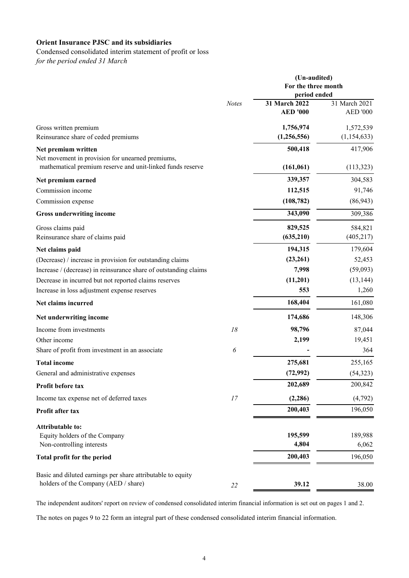# Condensed consolidated interim statement of profit or loss

*for the period ended 31 March* 

|                                                                                                     |              | (Un-audited)<br>For the three month<br>period ended |                                  |  |  |  |
|-----------------------------------------------------------------------------------------------------|--------------|-----------------------------------------------------|----------------------------------|--|--|--|
|                                                                                                     | <b>Notes</b> | 31 March 2022<br><b>AED '000</b>                    | 31 March 2021<br><b>AED '000</b> |  |  |  |
| Gross written premium                                                                               |              | 1,756,974                                           | 1,572,539                        |  |  |  |
| Reinsurance share of ceded premiums                                                                 |              | (1,256,556)                                         | (1,154,633)                      |  |  |  |
| Net premium written<br>Net movement in provision for unearned premiums,                             |              | 500,418                                             | 417,906                          |  |  |  |
| mathematical premium reserve and unit-linked funds reserve                                          |              | (161,061)                                           | (113, 323)                       |  |  |  |
| Net premium earned                                                                                  |              | 339,357                                             | 304,583                          |  |  |  |
| Commission income                                                                                   |              | 112,515                                             | 91,746                           |  |  |  |
| Commission expense                                                                                  |              | (108, 782)                                          | (86, 943)                        |  |  |  |
| Gross underwriting income                                                                           |              | 343,090                                             | 309,386                          |  |  |  |
| Gross claims paid                                                                                   |              | 829,525                                             | 584,821                          |  |  |  |
| Reinsurance share of claims paid                                                                    |              | (635,210)                                           | (405, 217)                       |  |  |  |
| Net claims paid                                                                                     |              | 194,315                                             | 179,604                          |  |  |  |
| (Decrease) / increase in provision for outstanding claims                                           |              | (23,261)                                            | 52,453                           |  |  |  |
| Increase / (decrease) in reinsurance share of outstanding claims                                    |              | 7,998                                               | (59,093)                         |  |  |  |
| Decrease in incurred but not reported claims reserves                                               |              | (11,201)                                            | (13, 144)                        |  |  |  |
| Increase in loss adjustment expense reserves                                                        |              | 553                                                 | 1,260                            |  |  |  |
| Net claims incurred                                                                                 |              | 168,404                                             | 161,080                          |  |  |  |
| Net underwriting income                                                                             |              | 174,686                                             | 148,306                          |  |  |  |
| Income from investments                                                                             | 18           | 98,796                                              | 87,044                           |  |  |  |
| Other income                                                                                        |              | 2,199                                               | 19,451                           |  |  |  |
| Share of profit from investment in an associate                                                     | 6            |                                                     | 364                              |  |  |  |
| <b>Total income</b>                                                                                 |              | 275,681                                             | 255,165                          |  |  |  |
| General and administrative expenses                                                                 |              | (72, 992)                                           | (54, 323)                        |  |  |  |
| Profit before tax                                                                                   |              | 202,689                                             | 200,842                          |  |  |  |
| Income tax expense net of deferred taxes                                                            | 17           | (2, 286)                                            | (4,792)                          |  |  |  |
| Profit after tax                                                                                    |              | 200,403                                             | 196,050                          |  |  |  |
| <b>Attributable to:</b><br>Equity holders of the Company<br>Non-controlling interests               |              | 195,599<br>4,804                                    | 189,988<br>6,062                 |  |  |  |
| Total profit for the period                                                                         |              | 200,403                                             | 196,050                          |  |  |  |
| Basic and diluted earnings per share attributable to equity<br>holders of the Company (AED / share) | 22           | 39.12                                               | 38.00                            |  |  |  |

The independent auditors' report on review of condensed consolidated interim financial information is set out on pages 1 and 2.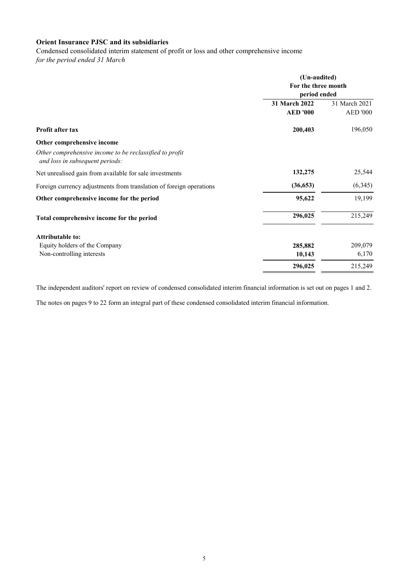Condensed consolidated interim statement of profit or loss and other comprehensive income

*for the period ended 31 March* 

|                                                                                            | (Un-audited)<br>For the three month<br>period ended |                 |  |  |
|--------------------------------------------------------------------------------------------|-----------------------------------------------------|-----------------|--|--|
|                                                                                            | 31 March 2022                                       | 31 March 2021   |  |  |
|                                                                                            | <b>AED '000</b>                                     | <b>AED '000</b> |  |  |
| Profit after tax                                                                           | 200,403                                             | 196,050         |  |  |
| Other comprehensive income                                                                 |                                                     |                 |  |  |
| Other comprehensive income to be reclassified to profit<br>and loss in subsequent periods: |                                                     |                 |  |  |
| Net unrealised gain from available for sale investments                                    | 132,275                                             | 25,544          |  |  |
| Foreign currency adjustments from translation of foreign operations                        | (36, 653)                                           | (6,345)         |  |  |
| Other comprehensive income for the period                                                  | 95,622                                              | 19,199          |  |  |
| Total comprehensive income for the period                                                  | 296,025                                             | 215,249         |  |  |
| <b>Attributable to:</b>                                                                    |                                                     |                 |  |  |
| Equity holders of the Company                                                              | 285,882                                             | 209,079         |  |  |
| Non-controlling interests                                                                  | 10,143                                              | 6,170           |  |  |
|                                                                                            | 296,025                                             | 215,249         |  |  |

The independent auditors' report on review of condensed consolidated interim financial information is set out on pages 1 and 2.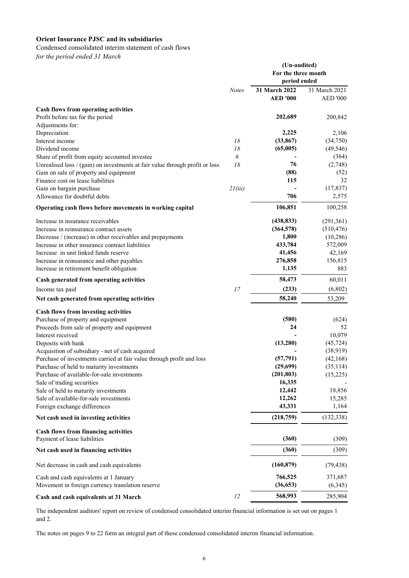Condensed consolidated interim statement of cash flows

*for the period ended 31 March* 

|                                                                              |              | (Un-audited)<br>For the three month<br>period ended |                 |  |  |
|------------------------------------------------------------------------------|--------------|-----------------------------------------------------|-----------------|--|--|
|                                                                              | <b>Notes</b> | 31 March 2022                                       | 31 March 2021   |  |  |
|                                                                              |              | <b>AED '000</b>                                     | <b>AED '000</b> |  |  |
| Cash flows from operating activities                                         |              |                                                     |                 |  |  |
| Profit before tax for the period                                             |              | 202,689                                             | 200,842         |  |  |
| Adjustments for:                                                             |              |                                                     |                 |  |  |
| Depreciation                                                                 |              | 2,225                                               | 2,106           |  |  |
| Interest income                                                              | 18           | (33, 867)                                           | (34,750)        |  |  |
| Dividend income                                                              | 18           | (65,005)                                            | (49, 546)       |  |  |
| Share of profit from equity accounted investee                               | 6            |                                                     | (364)           |  |  |
| Unrealised loss / (gain) on investments at fair value through profit or loss | 18           | 76                                                  | (2,748)         |  |  |
| Gain on sale of property and equipment                                       |              | (88)                                                | (52)            |  |  |
| Finance cost on lease liabilities                                            |              | 115                                                 | 32              |  |  |
| Gain on bargain purchase                                                     | 21(iii)      |                                                     | (17, 837)       |  |  |
| Allowance for doubtful debts                                                 |              | 706                                                 | 2,575           |  |  |
| Operating cash flows before movements in working capital                     |              | 106,851                                             | 100,258         |  |  |
| Increase in insurance receivables                                            |              | (438, 833)                                          | (291, 361)      |  |  |
| Increase in reinsurance contract assets                                      |              | (364, 578)                                          | (510, 476)      |  |  |
| Decrease / (increase) in other receivables and prepayments                   |              | 1,800                                               | (10, 286)       |  |  |
| Increase in other insurance contract liabilities                             |              | 433,784                                             | 572,009         |  |  |
| Increase in unit linked funds reserve                                        |              | 41,456                                              | 42,169          |  |  |
| Increase in reinsurance and other payables                                   |              | 276,858                                             | 156,815         |  |  |
| Increase in retirement benefit obligation                                    |              | 1,135                                               | 883             |  |  |
| Cash generated from operating activities                                     |              | 58,473                                              | 60,011          |  |  |
| Income tax paid                                                              | 17           | (233)                                               | (6,802)         |  |  |
| Net cash generated from operating activities                                 |              | 58,240                                              | 53,209          |  |  |
| Cash flows from investing activities                                         |              |                                                     |                 |  |  |
| Purchase of property and equipment                                           |              | (580)                                               | (624)           |  |  |
| Proceeds from sale of property and equipment                                 |              | 24                                                  | 52              |  |  |
| Interest received                                                            |              |                                                     | 10,079          |  |  |
| Deposits with bank                                                           |              | (13,280)                                            | (45, 724)       |  |  |
| Acquisition of subsidiary - net of cash acquired                             |              |                                                     | (38, 919)       |  |  |
| Purchase of investments carried at fair value through profit and loss        |              | (57, 791)                                           | (42, 168)       |  |  |
| Purchase of held to maturity investments                                     |              | (29,699)                                            | (35, 114)       |  |  |
| Purchase of available-for-sale investments                                   |              | (201, 803)                                          | (15,225)        |  |  |
| Sale of trading securities                                                   |              | 16,335                                              |                 |  |  |
| Sale of held to maturity investments                                         |              | 12,442                                              | 18,856          |  |  |
| Sale of available-for-sale investments                                       |              | 12,262                                              | 15,285          |  |  |
| Foreign exchange differences                                                 |              | 43,331                                              | 1,164           |  |  |
| Net cash used in investing activities                                        |              | (218,759)                                           | (132, 338)      |  |  |
| <b>Cash flows from financing activities</b><br>Payment of lease liabilities  |              | (360)                                               | (309)           |  |  |
| Net cash used in financing activities                                        |              | (360)                                               | (309)           |  |  |
| Net decrease in cash and cash equivalents                                    |              | (160, 879)                                          | (79, 438)       |  |  |
| Cash and cash equivalents at 1 January                                       |              | 766,525                                             | 371,687         |  |  |
| Movement in foreign currency translation reserve                             |              | (36, 653)                                           | (6,345)         |  |  |
|                                                                              |              |                                                     |                 |  |  |
| Cash and cash equivalents at 31 March                                        | 12           | 568,993                                             | 285,904         |  |  |

The independent auditors' report on review of condensed consolidated interim financial information is set out on pages 1 and 2.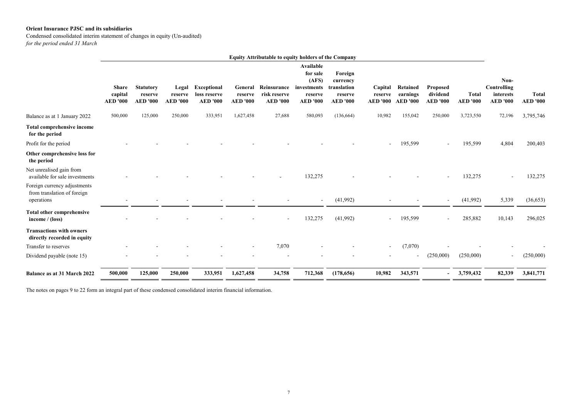Condensed consolidated interim statement of changes in equity (Un-audited) *for the period ended 31 March* 

|                                                                           | <b>Equity Attributable to equity holders of the Company</b> |                                                |                                     |                                                       |                                       |                                                |                                                                                    |                                                                  |                                       |                                         |                                         |                                 |                                                     |                                 |
|---------------------------------------------------------------------------|-------------------------------------------------------------|------------------------------------------------|-------------------------------------|-------------------------------------------------------|---------------------------------------|------------------------------------------------|------------------------------------------------------------------------------------|------------------------------------------------------------------|---------------------------------------|-----------------------------------------|-----------------------------------------|---------------------------------|-----------------------------------------------------|---------------------------------|
|                                                                           | <b>Share</b><br>capital<br><b>AED '000</b>                  | <b>Statutory</b><br>reserve<br><b>AED '000</b> | Legal<br>reserve<br><b>AED '000</b> | <b>Exceptional</b><br>loss reserve<br><b>AED</b> '000 | General<br>reserve<br><b>AED '000</b> | Reinsurance<br>risk reserve<br><b>AED '000</b> | <b>Available</b><br>for sale<br>(AFS)<br>investments<br>reserve<br><b>AED '000</b> | Foreign<br>currency<br>translation<br>reserve<br><b>AED '000</b> | Capital<br>reserve<br><b>AED '000</b> | Retained<br>earnings<br><b>AED '000</b> | Proposed<br>dividend<br><b>AED '000</b> | <b>Total</b><br><b>AED</b> '000 | Non-<br>Controlling<br>interests<br><b>AED</b> '000 | <b>Total</b><br><b>AED</b> '000 |
| Balance as at 1 January 2022                                              | 500,000                                                     | 125,000                                        | 250,000                             | 333,951                                               | 1,627,458                             | 27,688                                         | 580,093                                                                            | (136, 664)                                                       | 10,982                                | 155,042                                 | 250,000                                 | 3,723,550                       | 72,196                                              | 3,795,746                       |
| <b>Total comprehensive income</b><br>for the period                       |                                                             |                                                |                                     |                                                       |                                       |                                                |                                                                                    |                                                                  |                                       |                                         |                                         |                                 |                                                     |                                 |
| Profit for the period                                                     |                                                             |                                                |                                     |                                                       |                                       |                                                |                                                                                    |                                                                  |                                       | 195,599                                 | $\sim$                                  | 195,599                         | 4,804                                               | 200,403                         |
| Other comprehensive loss for<br>the period                                |                                                             |                                                |                                     |                                                       |                                       |                                                |                                                                                    |                                                                  |                                       |                                         |                                         |                                 |                                                     |                                 |
| Net unrealised gain from<br>available for sale investments                |                                                             |                                                |                                     |                                                       |                                       |                                                | 132,275                                                                            |                                                                  |                                       |                                         | $\sim$                                  | 132,275                         |                                                     | 132,275                         |
| Foreign currency adjustments<br>from translation of foreign<br>operations |                                                             |                                                |                                     |                                                       |                                       |                                                | $\sim$                                                                             | (41,992)                                                         |                                       |                                         |                                         | (41,992)                        | 5,339                                               | (36, 653)                       |
| <b>Total other comprehensive</b><br>income $/$ (loss)                     |                                                             |                                                |                                     |                                                       |                                       |                                                | 132,275                                                                            | (41,992)                                                         |                                       | 195,599                                 | $\sim$                                  | 285,882                         | 10,143                                              | 296,025                         |
| <b>Transactions with owners</b><br>directly recorded in equity            |                                                             |                                                |                                     |                                                       |                                       |                                                |                                                                                    |                                                                  |                                       |                                         |                                         |                                 |                                                     |                                 |
| Transfer to reserves                                                      |                                                             |                                                |                                     |                                                       |                                       | 7,070                                          |                                                                                    |                                                                  |                                       | (7,070)                                 |                                         |                                 |                                                     |                                 |
| Dividend payable (note 15)                                                |                                                             |                                                |                                     |                                                       |                                       |                                                |                                                                                    |                                                                  |                                       |                                         | (250,000)                               | (250,000)                       |                                                     | (250,000)                       |
| Balance as at 31 March 2022                                               | 500,000                                                     | 125,000                                        | 250,000                             | 333,951                                               | 1,627,458                             | 34,758                                         | 712,368                                                                            | (178, 656)                                                       | 10,982                                | 343,571                                 |                                         | 3,759,432                       | 82,339                                              | 3,841,771                       |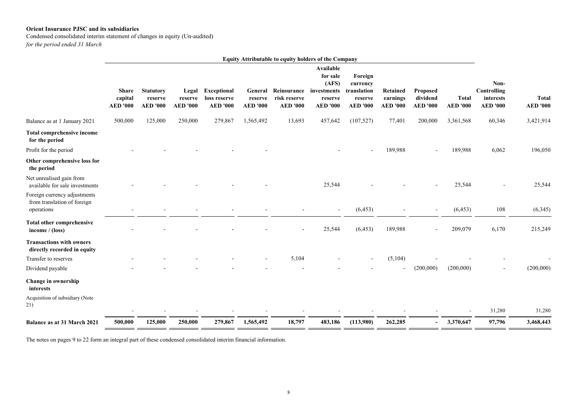Condensed consolidated interim statement of changes in equity (Un-audited)

*for the period ended 31 March* 

|                                                                           |                                            |                                                |                                     |                                                       |                                       | <b>Equity Attributable to equity holders of the Company</b> |                                                                             |                                                                  |                                         |                                         |                                 |                                                            |                                 |
|---------------------------------------------------------------------------|--------------------------------------------|------------------------------------------------|-------------------------------------|-------------------------------------------------------|---------------------------------------|-------------------------------------------------------------|-----------------------------------------------------------------------------|------------------------------------------------------------------|-----------------------------------------|-----------------------------------------|---------------------------------|------------------------------------------------------------|---------------------------------|
|                                                                           | <b>Share</b><br>capital<br><b>AED '000</b> | <b>Statutory</b><br>reserve<br><b>AED '000</b> | Legal<br>reserve<br><b>AED '000</b> | <b>Exceptional</b><br>loss reserve<br><b>AED '000</b> | General<br>reserve<br><b>AED '000</b> | Reinsurance<br>risk reserve<br><b>AED '000</b>              | Available<br>for sale<br>(AFS)<br>investments<br>reserve<br><b>AED '000</b> | Foreign<br>currency<br>translation<br>reserve<br><b>AED '000</b> | Retained<br>earnings<br><b>AED '000</b> | Proposed<br>dividend<br><b>AED '000</b> | <b>Total</b><br><b>AED '000</b> | Non-<br><b>Controlling</b><br>interests<br><b>AED '000</b> | <b>Total</b><br><b>AED '000</b> |
| Balance as at 1 January 2021                                              | 500,000                                    | 125,000                                        | 250,000                             | 279,867                                               | 1,565,492                             | 13,693                                                      | 457,642                                                                     | (107, 527)                                                       | 77,401                                  | 200,000                                 | 3,361,568                       | 60,346                                                     | 3,421,914                       |
| <b>Total comprehensive income</b><br>for the period                       |                                            |                                                |                                     |                                                       |                                       |                                                             |                                                                             |                                                                  |                                         |                                         |                                 |                                                            |                                 |
| Profit for the period                                                     |                                            |                                                |                                     |                                                       |                                       |                                                             |                                                                             |                                                                  | 189,988                                 | $\blacksquare$                          | 189,988                         | 6,062                                                      | 196,050                         |
| Other comprehensive loss for<br>the period                                |                                            |                                                |                                     |                                                       |                                       |                                                             |                                                                             |                                                                  |                                         |                                         |                                 |                                                            |                                 |
| Net unrealised gain from<br>available for sale investments                |                                            |                                                |                                     |                                                       |                                       |                                                             | 25,544                                                                      |                                                                  |                                         |                                         | 25,544                          |                                                            | 25,544                          |
| Foreign currency adjustments<br>from translation of foreign<br>operations |                                            |                                                |                                     |                                                       |                                       |                                                             | $\sim$                                                                      | (6, 453)                                                         |                                         | $\overline{\phantom{a}}$                | (6, 453)                        | 108                                                        | (6,345)                         |
| <b>Total other comprehensive</b><br>income $/$ (loss)                     |                                            |                                                |                                     |                                                       |                                       |                                                             | 25,544                                                                      | (6, 453)                                                         | 189,988                                 |                                         | 209,079                         | 6,170                                                      | 215,249                         |
| <b>Transactions with owners</b><br>directly recorded in equity            |                                            |                                                |                                     |                                                       |                                       |                                                             |                                                                             |                                                                  |                                         |                                         |                                 |                                                            |                                 |
| Transfer to reserves                                                      |                                            |                                                |                                     |                                                       |                                       | 5,104                                                       |                                                                             |                                                                  | (5,104)                                 |                                         |                                 |                                                            |                                 |
| Dividend payable                                                          |                                            |                                                |                                     |                                                       |                                       |                                                             |                                                                             |                                                                  |                                         | (200,000)                               | (200,000)                       |                                                            | (200,000)                       |
| Change in ownership<br>interests                                          |                                            |                                                |                                     |                                                       |                                       |                                                             |                                                                             |                                                                  |                                         |                                         |                                 |                                                            |                                 |
| Acquisition of subsidiary (Note<br>21)                                    |                                            |                                                |                                     |                                                       |                                       |                                                             |                                                                             |                                                                  |                                         |                                         |                                 | 31,280                                                     | 31,280                          |
|                                                                           |                                            |                                                |                                     |                                                       |                                       |                                                             |                                                                             |                                                                  |                                         |                                         |                                 |                                                            |                                 |
| Balance as at 31 March 2021                                               | 500,000                                    | 125,000                                        | 250,000                             | 279,867                                               | 1,565,492                             | 18,797                                                      | 483,186                                                                     | (113,980)                                                        | 262,285                                 | $\blacksquare$                          | 3,370,647                       | 97,796                                                     | 3,468,443                       |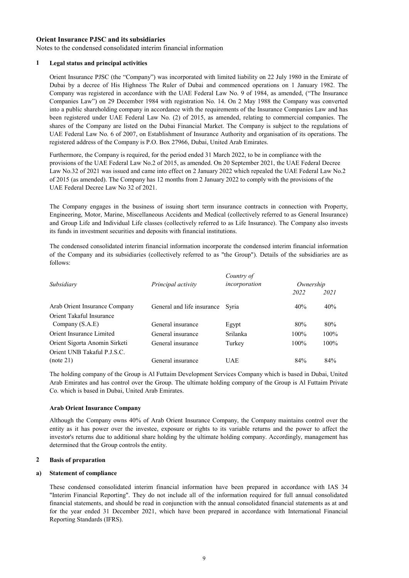Notes to the condensed consolidated interim financial information

#### **1 Legal status and principal activities**

Orient Insurance PJSC (the "Company") was incorporated with limited liability on 22 July 1980 in the Emirate of Dubai by a decree of His Highness The Ruler of Dubai and commenced operations on 1 January 1982. The Company was registered in accordance with the UAE Federal Law No. 9 of 1984, as amended, ("The Insurance Companies Law") on 29 December 1984 with registration No. 14. On 2 May 1988 the Company was converted into a public shareholding company in accordance with the requirements of the Insurance Companies Law and has been registered under UAE Federal Law No. (2) of 2015, as amended, relating to commercial companies. The shares of the Company are listed on the Dubai Financial Market. The Company is subject to the regulations of UAE Federal Law No. 6 of 2007, on Establishment of Insurance Authority and organisation of its operations. The registered address of the Company is P.O. Box 27966, Dubai, United Arab Emirates.

Furthermore, the Company is required, for the period ended 31 March 2022, to be in compliance with the provisions of the UAE Federal Law No.2 of 2015, as amended. On 20 September 2021, the UAE Federal Decree Law No.32 of 2021 was issued and came into effect on 2 January 2022 which repealed the UAE Federal Law No.2 of 2015 (as amended). The Company has 12 months from 2 January 2022 to comply with the provisions of the UAE Federal Decree Law No 32 of 2021.

The Company engages in the business of issuing short term insurance contracts in connection with Property, Engineering, Motor, Marine, Miscellaneous Accidents and Medical (collectively referred to as General Insurance) and Group Life and Individual Life classes (collectively referred to as Life Insurance). The Company also invests its funds in investment securities and deposits with financial institutions.

The condensed consolidated interim financial information incorporate the condensed interim financial information of the Company and its subsidiaries (collectively referred to as "the Group"). Details of the subsidiaries are as follows:

|                    | Country of    |                                  |      |  |
|--------------------|---------------|----------------------------------|------|--|
| Principal activity | incorporation | Ownership                        |      |  |
|                    |               | 2022                             | 2021 |  |
|                    |               | 40%                              | 40%  |  |
|                    |               |                                  |      |  |
| General insurance  | Egypt         | 80%                              | 80%  |  |
| General insurance  | Srilanka      | $100\%$                          | 100% |  |
| General insurance  | Turkey        | $100\%$                          | 100% |  |
|                    |               |                                  |      |  |
| General insurance  | UAE           | 84%                              | 84%  |  |
|                    |               | General and life insurance Syria |      |  |

The holding company of the Group is Al Futtaim Development Services Company which is based in Dubai, United Arab Emirates and has control over the Group. The ultimate holding company of the Group is Al Futtaim Private Co. which is based in Dubai, United Arab Emirates.

#### **Arab Orient Insurance Company**

Although the Company owns 40% of Arab Orient Insurance Company, the Company maintains control over the entity as it has power over the investee, exposure or rights to its variable returns and the power to affect the investor's returns due to additional share holding by the ultimate holding company. Accordingly, management has determined that the Group controls the entity.

#### **2 Basis of preparation**

#### **a) Statement of compliance**

These condensed consolidated interim financial information have been prepared in accordance with IAS 34 "Interim Financial Reporting". They do not include all of the information required for full annual consolidated financial statements, and should be read in conjunction with the annual consolidated financial statements as at and for the year ended 31 December 2021, which have been prepared in accordance with International Financial Reporting Standards (IFRS).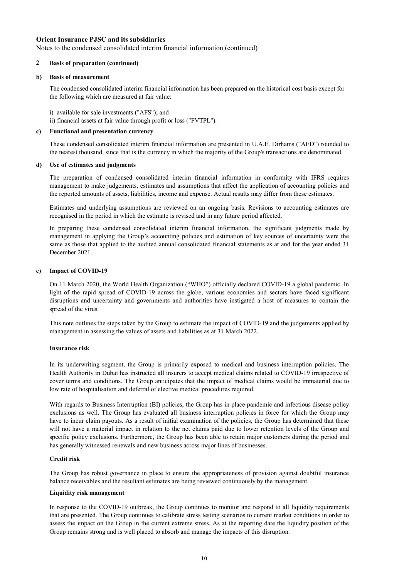Notes to the condensed consolidated interim financial information (continued)

# **2 Basis of preparation (continued)**

#### **b) Basis of measurement**

The condensed consolidated interim financial information has been prepared on the historical cost basis except for the following which are measured at fair value:

i) available for sale investments ("AFS"); and

ii) financial assets at fair value through profit or loss ("FVTPL").

# **c) Functional and presentation currency**

These condensed consolidated interim financial information are presented in U.A.E. Dirhams ("AED") rounded to the nearest thousand, since that is the currency in which the majority of the Group's transactions are denominated.

#### **d) Use of estimates and judgments**

The preparation of condensed consolidated interim financial information in conformity with IFRS requires management to make judgements, estimates and assumptions that affect the application of accounting policies and the reported amounts of assets, liabilities, income and expense. Actual results may differ from these estimates.

Estimates and underlying assumptions are reviewed on an ongoing basis. Revisions to accounting estimates are recognised in the period in which the estimate is revised and in any future period affected.

In preparing these condensed consolidated interim financial information, the significant judgments made by management in applying the Group's accounting policies and estimation of key sources of uncertainty were the same as those that applied to the audited annual consolidated financial statements as at and for the year ended 31 December 2021.

## **e) Impact of COVID-19**

On 11 March 2020, the World Health Organization ("WHO") officially declared COVID-19 a global pandemic. In light of the rapid spread of COVID-19 across the globe, various economies and sectors have faced significant disruptions and uncertainty and governments and authorities have instigated a host of measures to contain the spread of the virus.

This note outlines the steps taken by the Group to estimate the impact of COVID-19 and the judgements applied by management in assessing the values of assets and liabilities as at 31 March 2022.

#### **Insurance risk**

In its underwriting segment, the Group is primarily exposed to medical and business interruption policies. The Health Authority in Dubai has instructed all insurers to accept medical claims related to COVID-19 irrespective of cover terms and conditions. The Group anticipates that the impact of medical claims would be immaterial due to low rate of hospitalisation and deferral of elective medical procedures required.

With regards to Business Interruption (BI) policies, the Group has in place pandemic and infectious disease policy exclusions as well. The Group has evaluated all business interruption policies in force for which the Group may have to incur claim payouts. As a result of initial examination of the policies, the Group has determined that these will not have a material impact in relation to the net claims paid due to lower retention levels of the Group and specific policy exclusions. Furthermore, the Group has been able to retain major customers during the period and has generally witnessed renewals and new business across major lines of businesses.

#### **Credit risk**

The Group has robust governance in place to ensure the appropriateness of provision against doubtful insurance balance receivables and the resultant estimates are being reviewed continuously by the management.

#### **Liquidity risk management**

In response to the COVID-19 outbreak, the Group continues to monitor and respond to all liquidity requirements that are presented. The Group continues to calibrate stress testing scenarios to current market conditions in order to assess the impact on the Group in the current extreme stress. As at the reporting date the liquidity position of the Group remains strong and is well placed to absorb and manage the impacts of this disruption.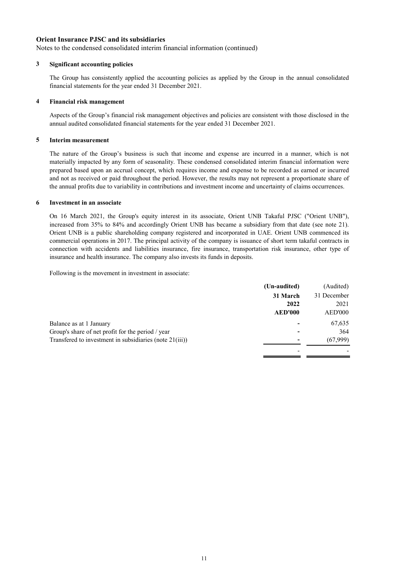Notes to the condensed consolidated interim financial information (continued)

# **3 Significant accounting policies**

The Group has consistently applied the accounting policies as applied by the Group in the annual consolidated financial statements for the year ended 31 December 2021.

#### **4 Financial risk management**

Aspects of the Group's financial risk management objectives and policies are consistent with those disclosed in the annual audited consolidated financial statements for the year ended 31 December 2021.

# **5 Interim measurement**

The nature of the Group's business is such that income and expense are incurred in a manner, which is not materially impacted by any form of seasonality. These condensed consolidated interim financial information were prepared based upon an accrual concept, which requires income and expense to be recorded as earned or incurred and not as received or paid throughout the period. However, the results may not represent a proportionate share of the annual profits due to variability in contributions and investment income and uncertainty of claims occurrences.

#### **6 Investment in an associate**

On 16 March 2021, the Group's equity interest in its associate, Orient UNB Takaful PJSC ("Orient UNB"), increased from 35% to 84% and accordingly Orient UNB has became a subsidiary from that date (see note 21). Orient UNB is a public shareholding company registered and incorporated in UAE. Orient UNB commenced its commercial operations in 2017. The principal activity of the company is issuance of short term takaful contracts in connection with accidents and liabilities insurance, fire insurance, transportation risk insurance, other type of insurance and health insurance. The company also invests its funds in deposits.

Following is the movement in investment in associate:

|                                                         | (Un-audited)   | (Audited)   |
|---------------------------------------------------------|----------------|-------------|
|                                                         | 31 March       | 31 December |
|                                                         | 2022           | 2021        |
|                                                         | <b>AED'000</b> | AED'000     |
| Balance as at 1 January                                 |                | 67,635      |
| Group's share of net profit for the period / year       |                | 364         |
| Transfered to investment in subsidiaries (note 21(iii)) |                | (67,999)    |
|                                                         |                |             |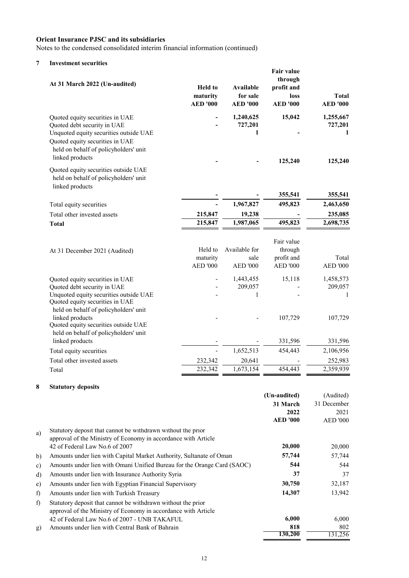Notes to the condensed consolidated interim financial information (continued)

# **7 Investment securities**

| At 31 March 2022 (Un-audited)                                                                                                                                                                           | <b>Held</b> to<br>maturity<br><b>AED</b> '000 | <b>Available</b><br>for sale<br><b>AED '000</b> | Fair value<br>through<br>profit and<br>loss<br><b>AED</b> '000 | Total<br><b>AED '000</b>             |
|---------------------------------------------------------------------------------------------------------------------------------------------------------------------------------------------------------|-----------------------------------------------|-------------------------------------------------|----------------------------------------------------------------|--------------------------------------|
| Quoted equity securities in UAE<br>Quoted debt security in UAE<br>Unquoted equity securities outside UAE<br>Quoted equity securities in UAE<br>held on behalf of policyholders' unit<br>linked products |                                               | 1,240,625<br>727,201<br>1                       | 15,042<br>125,240                                              | 1,255,667<br>727,201<br>1<br>125,240 |
| Quoted equity securities outside UAE<br>held on behalf of policyholders' unit<br>linked products                                                                                                        |                                               |                                                 |                                                                |                                      |
|                                                                                                                                                                                                         |                                               |                                                 | 355,541                                                        | 355,541                              |
| Total equity securities                                                                                                                                                                                 |                                               | 1,967,827                                       | 495,823                                                        | 2,463,650                            |
| Total other invested assets                                                                                                                                                                             | 215,847<br>215,847                            | 19,238<br>1,987,065                             | 495,823                                                        | 235,085<br>2,698,735                 |
| <b>Total</b>                                                                                                                                                                                            |                                               |                                                 |                                                                |                                      |
| At 31 December 2021 (Audited)                                                                                                                                                                           | Held to<br>maturity<br><b>AED '000</b>        | Available for<br>sale<br><b>AED '000</b>        | Fair value<br>through<br>profit and<br><b>AED '000</b>         | Total<br><b>AED '000</b>             |
| Quoted equity securities in UAE<br>Quoted debt security in UAE<br>Unquoted equity securities outside UAE<br>Quoted equity securities in UAE<br>held on behalf of policyholders' unit                    |                                               | 1,443,455<br>209,057<br>1                       | 15,118                                                         | 1,458,573<br>209,057<br>1            |
| linked products<br>Quoted equity securities outside UAE<br>held on behalf of policyholders' unit<br>linked products                                                                                     |                                               |                                                 | 107,729<br>331,596                                             | 107,729<br>331,596                   |
| Total equity securities                                                                                                                                                                                 |                                               | 1,652,513                                       | 454,443                                                        | 2,106,956                            |
| Total other invested assets                                                                                                                                                                             | 232,342                                       | 20,641                                          |                                                                | 252,983                              |
| Total                                                                                                                                                                                                   | 232,342                                       | 1,673,154                                       | 454,443                                                        | 2,359,939                            |
|                                                                                                                                                                                                         |                                               |                                                 |                                                                |                                      |

# **8 Statutory deposits**

|    |                                                                         | (Un-audited)    | (Audited)       |
|----|-------------------------------------------------------------------------|-----------------|-----------------|
|    |                                                                         | 31 March        | 31 December     |
|    |                                                                         | 2022            | 2021            |
|    |                                                                         | <b>AED '000</b> | <b>AED '000</b> |
| a) | Statutory deposit that cannot be withdrawn without the prior            |                 |                 |
|    | approval of the Ministry of Economy in accordance with Article          |                 |                 |
|    | 42 of Federal Law No.6 of 2007                                          | 20,000          | 20,000          |
| b) | Amounts under lien with Capital Market Authority, Sultanate of Oman     | 57,744          | 57,744          |
| c) | Amounts under lien with Omani Unified Bureau for the Orange Card (SAOC) | 544             | 544             |
| d) | Amounts under lien with Insurance Authority Syria                       | 37              | 37              |
| e) | Amounts under lien with Egyptian Financial Supervisory                  | 30,750          | 32,187          |
| f) | Amounts under lien with Turkish Treasury                                | 14,307          | 13,942          |
| f) | Statutory deposit that cannot be withdrawn without the prior            |                 |                 |
|    | approval of the Ministry of Economy in accordance with Article          |                 |                 |
|    | 42 of Federal Law No.6 of 2007 - UNB TAKAFUL                            | 6,000           | 6,000           |
| g) | Amounts under lien with Central Bank of Bahrain                         | 818             | 802             |
|    |                                                                         | 130,200         | 131,256         |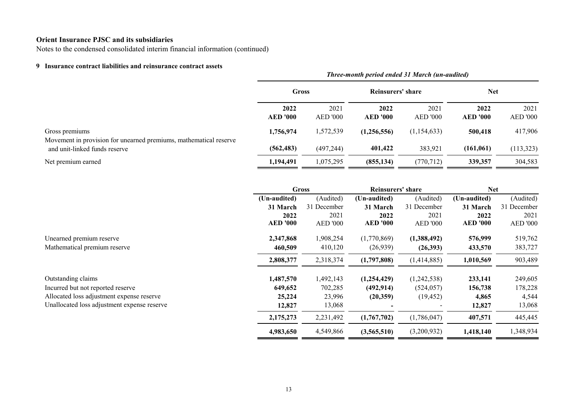Notes to the condensed consolidated interim financial information (continued)

# **9 Insurance contract liabilities and reinsurance contract assets**

|                                                                                     | Three-month period ended 31 March (un-audited) |                  |                         |                         |                         |                         |  |  |  |
|-------------------------------------------------------------------------------------|------------------------------------------------|------------------|-------------------------|-------------------------|-------------------------|-------------------------|--|--|--|
|                                                                                     | Gross                                          |                  | Reinsurers' share       |                         | <b>Net</b>              |                         |  |  |  |
|                                                                                     | 2022<br><b>AED '000</b>                        | 2021<br>AED '000 | 2022<br><b>AED '000</b> | 2021<br><b>AED '000</b> | 2022<br><b>AED '000</b> | 2021<br><b>AED '000</b> |  |  |  |
| Gross premiums<br>Movement in provision for unearned premiums, mathematical reserve | 1,756,974                                      | 1,572,539        | (1,256,556)             | (1, 154, 633)           | 500,418                 | 417,906                 |  |  |  |
| and unit-linked funds reserve                                                       | (562, 483)                                     | (497, 244)       | 401,422                 | 383,921                 | (161,061)               | (113,323)               |  |  |  |
| Net premium earned                                                                  | 1,194,491                                      | 1,075,295        | (855, 134)              | (770, 712)              | 339,357                 | 304,583                 |  |  |  |

|                                             |                 | <b>Gross</b>    |                 | Reinsurers' share |                 | Net             |  |
|---------------------------------------------|-----------------|-----------------|-----------------|-------------------|-----------------|-----------------|--|
|                                             | (Un-audited)    | (Audited)       | (Un-audited)    | (Audited)         | (Un-audited)    | (Audited)       |  |
|                                             | 31 March        | 31 December     | 31 March        | 31 December       | 31 March        | 31 December     |  |
|                                             | 2022            | 2021            | 2022            | 2021              | 2022            | 2021            |  |
|                                             | <b>AED '000</b> | <b>AED</b> '000 | <b>AED '000</b> | <b>AED '000</b>   | <b>AED '000</b> | <b>AED '000</b> |  |
| Unearned premium reserve                    | 2,347,868       | 1,908,254       | (1,770,869)     | (1,388,492)       | 576,999         | 519,762         |  |
| Mathematical premium reserve                | 460,509         | 410,120         | (26,939)        | (26,393)          | 433,570         | 383,727         |  |
|                                             | 2,808,377       | 2,318,374       | (1,797,808)     | (1,414,885)       | 1,010,569       | 903,489         |  |
| Outstanding claims                          | 1,487,570       | 1,492,143       | (1,254,429)     | (1,242,538)       | 233,141         | 249,605         |  |
| Incurred but not reported reserve           | 649,652         | 702,285         | (492, 914)      | (524, 057)        | 156,738         | 178,228         |  |
| Allocated loss adjustment expense reserve   | 25,224          | 23,996          | (20,359)        | (19, 452)         | 4,865           | 4,544           |  |
| Unallocated loss adjustment expense reserve | 12,827          | 13,068          |                 |                   | 12,827          | 13,068          |  |
|                                             | 2,175,273       | 2,231,492       | (1,767,702)     | (1,786,047)       | 407,571         | 445,445         |  |
|                                             | 4,983,650       | 4,549,866       | (3,565,510)     | (3,200,932)       | 1,418,140       | 1,348,934       |  |
|                                             |                 |                 |                 |                   |                 |                 |  |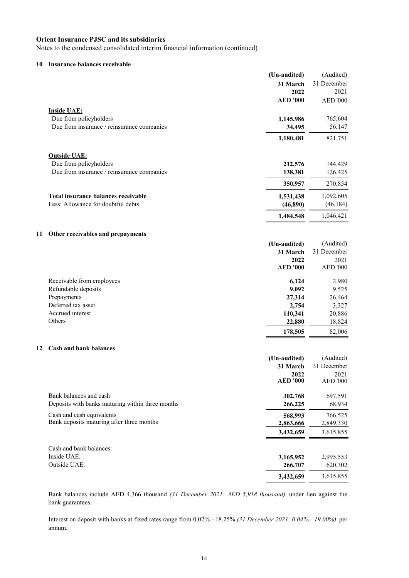Notes to the condensed consolidated interim financial information (continued)

# **10 Insurance balances receivable**

|    |                                                  | (Un-audited)             | (Audited)                |
|----|--------------------------------------------------|--------------------------|--------------------------|
|    |                                                  | 31 March                 | 31 December              |
|    |                                                  | 2022                     | 2021                     |
|    |                                                  | <b>AED '000</b>          | <b>AED '000</b>          |
|    | <b>Inside UAE:</b>                               |                          |                          |
|    | Due from policyholders                           | 1,145,986                | 765,604                  |
|    | Due from insurance / reinsurance companies       | 34,495                   | 56,147                   |
|    |                                                  |                          |                          |
|    |                                                  | 1,180,481                | 821,751                  |
|    |                                                  |                          |                          |
|    | <b>Outside UAE:</b>                              |                          |                          |
|    | Due from policyholders                           | 212,576                  | 144,429                  |
|    | Due from insurance / reinsurance companies       | 138,381                  | 126,425                  |
|    |                                                  | 350,957                  | 270,854                  |
|    | Total insurance balances receivable              | 1,531,438                | 1,092,605                |
|    | Less: Allowance for doubtful debts               | (46,890)                 | (46, 184)                |
|    |                                                  | 1,484,548                | 1,046,421                |
|    |                                                  |                          |                          |
| 11 | Other receivables and prepayments                |                          |                          |
|    |                                                  | (Un-audited)             | (Audited)                |
|    |                                                  | 31 March                 | 31 December              |
|    |                                                  | 2022                     | 2021                     |
|    |                                                  | <b>AED '000</b>          | <b>AED '000</b>          |
|    | Receivable from employees                        | 6,124                    | 2,980                    |
|    | Refundable deposits                              | 9,092                    | 9,525                    |
|    | Prepayments                                      | 27,314                   | 26,464                   |
|    | Deferred tax asset                               | 2,754                    | 3,327                    |
|    | Accrued interest                                 | 110,341                  | 20,886                   |
|    | Others                                           | 22,880                   | 18,824                   |
|    |                                                  | 178,505                  | 82,006                   |
| 12 | <b>Cash and bank balances</b>                    |                          |                          |
|    |                                                  |                          |                          |
|    |                                                  | (Un-audited)<br>31 March | (Audited)<br>31 December |
|    |                                                  | 2022                     | 2021                     |
|    |                                                  | <b>AED '000</b>          | <b>AED '000</b>          |
|    | Bank balances and cash                           | 302,768                  | 697,591                  |
|    | Deposits with banks maturing within three months | 266,225                  | 68,934                   |
|    | Cash and cash equivalents                        | 568,993                  | 766,525                  |
|    | Bank deposits maturing after three months        | 2,863,666                | 2,849,330                |
|    |                                                  | 3,432,659                | 3,615,855                |
|    |                                                  |                          |                          |
|    | Cash and bank balances:                          |                          |                          |
|    | Inside UAE:                                      | 3,165,952                | 2,995,553                |
|    | Outside UAE:                                     | 266,707                  | 620,302                  |
|    |                                                  | 3,432,659                | 3,615,855                |
|    |                                                  |                          |                          |

Bank balances include AED 4,366 thousand *(31 December 2021: AED 5,918 thousand)* under lien against the bank guarantees.

Interest on deposit with banks at fixed rates range from 0.02% - 18.25% *(31 December 2021: 0.04% - 19.00%)* per annum.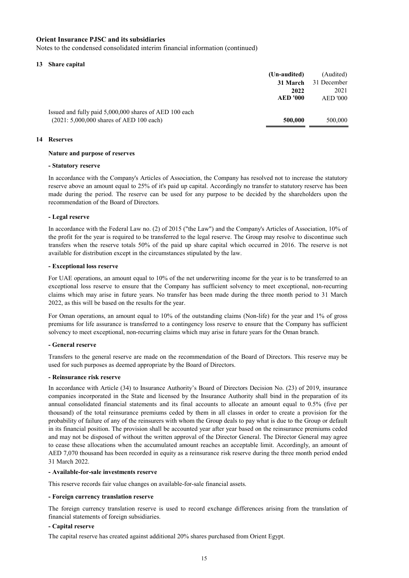Notes to the condensed consolidated interim financial information (continued)

## **13 Share capital**

|                                                        | (Un-audited)    | (Audited)       |
|--------------------------------------------------------|-----------------|-----------------|
|                                                        | 31 March        | 31 December     |
|                                                        | 2022            | 2021            |
|                                                        | <b>AED '000</b> | <b>AED</b> '000 |
| Issued and fully paid 5,000,000 shares of AED 100 each |                 |                 |
| $(2021: 5,000,000$ shares of AED 100 each)             | 500,000         | 500,000         |

# **14 Reserves**

# **Nature and purpose of reserves**

# **- Statutory reserve**

In accordance with the Company's Articles of Association, the Company has resolved not to increase the statutory reserve above an amount equal to 25% of it's paid up capital. Accordingly no transfer to statutory reserve has been made during the period. The reserve can be used for any purpose to be decided by the shareholders upon the recommendation of the Board of Directors.

# **- Legal reserve**

In accordance with the Federal Law no. (2) of 2015 ("the Law") and the Company's Articles of Association, 10% of the profit for the year is required to be transferred to the legal reserve. The Group may resolve to discontinue such transfers when the reserve totals 50% of the paid up share capital which occurred in 2016. The reserve is not available for distribution except in the circumstances stipulated by the law.

#### **- Exceptional loss reserve**

For UAE operations, an amount equal to 10% of the net underwriting income for the year is to be transferred to an exceptional loss reserve to ensure that the Company has sufficient solvency to meet exceptional, non-recurring claims which may arise in future years. No transfer has been made during the three month period to 31 March 2022, as this will be based on the results for the year.

For Oman operations, an amount equal to 10% of the outstanding claims (Non-life) for the year and 1% of gross premiums for life assurance is transferred to a contingency loss reserve to ensure that the Company has sufficient solvency to meet exceptional, non-recurring claims which may arise in future years for the Oman branch.

#### **- General reserve**

Transfers to the general reserve are made on the recommendation of the Board of Directors. This reserve may be used for such purposes as deemed appropriate by the Board of Directors.

#### **- Reinsurance risk reserve**

In accordance with Article (34) to Insurance Authority's Board of Directors Decision No. (23) of 2019, insurance companies incorporated in the State and licensed by the Insurance Authority shall bind in the preparation of its annual consolidated financial statements and its final accounts to allocate an amount equal to 0.5% (five per thousand) of the total reinsurance premiums ceded by them in all classes in order to create a provision for the probability of failure of any of the reinsurers with whom the Group deals to pay what is due to the Group or default in its financial position. The provision shall be accounted year after year based on the reinsurance premiums ceded and may not be disposed of without the written approval of the Director General. The Director General may agree to cease these allocations when the accumulated amount reaches an acceptable limit. Accordingly, an amount of AED 7,070 thousand has been recorded in equity as a reinsurance risk reserve during the three month period ended 31 March 2022.

# **- Available-for-sale investments reserve**

This reserve records fair value changes on available-for-sale financial assets.

#### **- Foreign currency translation reserve**

The foreign currency translation reserve is used to record exchange differences arising from the translation of financial statements of foreign subsidiaries.

# **- Capital reserve**

The capital reserve has created against additional 20% shares purchased from Orient Egypt.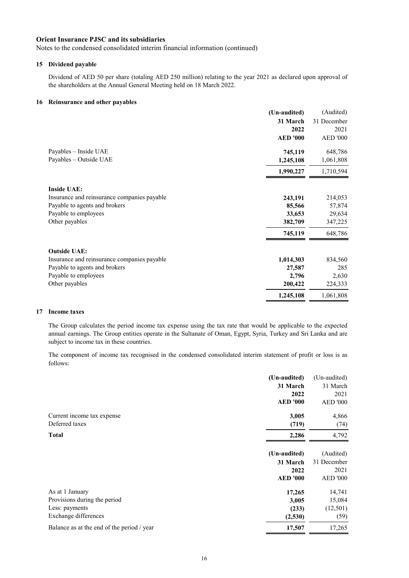Notes to the condensed consolidated interim financial information (continued)

# **15 Dividend payable**

Dividend of AED 50 per share (totaling AED 250 million) relating to the year 2021 as declared upon approval of the shareholders at the Annual General Meeting held on 18 March 2022.

# **16 Reinsurance and other payables**

|                                             | (Un-audited)    | (Audited)       |
|---------------------------------------------|-----------------|-----------------|
|                                             | 31 March        | 31 December     |
|                                             | 2022            | 2021            |
|                                             | <b>AED '000</b> | <b>AED '000</b> |
| Payables - Inside UAE                       | 745,119         | 648,786         |
| Payables - Outside UAE                      | 1,245,108       | 1,061,808       |
|                                             | 1,990,227       | 1,710,594       |
| <b>Inside UAE:</b>                          |                 |                 |
| Insurance and reinsurance companies payable | 243,191         | 214,053         |
| Payable to agents and brokers               | 85,566          | 57,874          |
| Payable to employees                        | 33,653          | 29,634          |
| Other payables                              | 382,709         | 347,225         |
|                                             | 745,119         | 648,786         |
| <b>Outside UAE:</b>                         |                 |                 |
| Insurance and reinsurance companies payable | 1,014,303       | 834,560         |
| Payable to agents and brokers               | 27,587          | 285             |
| Payable to employees                        | 2,796           | 2,630           |
| Other payables                              | 200,422         | 224,333         |
|                                             | 1,245,108       | 1,061,808       |

# **17 Income taxes**

The Group calculates the period income tax expense using the tax rate that would be applicable to the expected annual earnings. The Group entities operate in the Sultanate of Oman, Egypt, Syria, Turkey and Sri Lanka and are subject to income tax in these countries.

The component of income tax recognised in the condensed consolidated interim statement of profit or loss is as follows:

|                                            | (Un-audited)    | (Un-audited)    |
|--------------------------------------------|-----------------|-----------------|
|                                            | 31 March        | 31 March        |
|                                            | 2022            | 2021            |
|                                            | <b>AED '000</b> | <b>AED '000</b> |
| Current income tax expense                 | 3,005           | 4,866           |
| Deferred taxes                             | (719)           | (74)            |
| <b>Total</b>                               | 2,286           | 4,792           |
|                                            | (Un-audited)    | (Audited)       |
|                                            | 31 March        | 31 December     |
|                                            | 2022            | 2021            |
|                                            | <b>AED '000</b> | <b>AED '000</b> |
| As at 1 January                            | 17,265          | 14,741          |
| Provisions during the period               | 3,005           | 15,084          |
| Less: payments                             | (233)           | (12,501)        |
| Exchange differences                       | (2,530)         | (59)            |
| Balance as at the end of the period / year | 17,507          | 17,265          |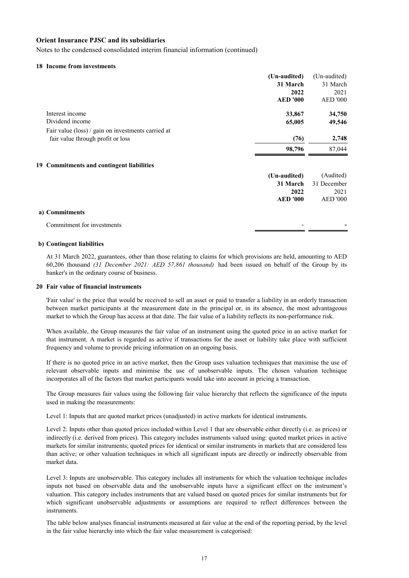Notes to the condensed consolidated interim financial information (continued)

# **18 Income from investments**

|                                                    | (Un-audited)    | (Un-audited)    |
|----------------------------------------------------|-----------------|-----------------|
|                                                    | 31 March        | 31 March        |
|                                                    | 2022            | 2021            |
|                                                    | <b>AED '000</b> | <b>AED '000</b> |
| Interest income                                    | 33,867          | 34,750          |
| Dividend income                                    | 65,005          | 49,546          |
| Fair value (loss) / gain on investments carried at |                 |                 |
| fair value through profit or loss                  | (76)            | 2,748           |
|                                                    | 98,796          | 87,044          |
| 19 Commitments and contingent liabilities          |                 |                 |
|                                                    | (Un-audited)    | (Audited)       |
|                                                    | 31 March        | 31 December     |
|                                                    | 2022            | 2021            |
|                                                    | <b>AED '000</b> | <b>AED '000</b> |
| a) Commitments                                     |                 |                 |
| Commitment for investments                         |                 |                 |
|                                                    |                 |                 |

## **b) Contingent liabilities**

At 31 March 2022, guarantees, other than those relating to claims for which provisions are held, amounting to AED 60,206 thousand *(31 December 2021: AED 57,861 thousand)* had been issued on behalf of the Group by its banker's in the ordinary course of business.

#### **20 Fair value of financial instruments**

'Fair value' is the price that would be received to sell an asset or paid to transfer a liability in an orderly transaction between market participants at the measurement date in the principal or, in its absence, the most advantageous market to which the Group has access at that date. The fair value of a liability reflects its non-performance risk.

When available, the Group measures the fair value of an instrument using the quoted price in an active market for that instrument. A market is regarded as active if transactions for the asset or liability take place with sufficient frequency and volume to provide pricing information on an ongoing basis.

If there is no quoted price in an active market, then the Group uses valuation techniques that maximise the use of relevant observable inputs and minimise the use of unobservable inputs. The chosen valuation technique incorporates all of the factors that market participants would take into account in pricing a transaction.

The Group measures fair values using the following fair value hierarchy that reflects the significance of the inputs used in making the measurements:

Level 1: Inputs that are quoted market prices (unadjusted) in active markets for identical instruments.

Level 2: Inputs other than quoted prices included within Level 1 that are observable either directly (i.e. as prices) or indirectly (i.e. derived from prices). This category includes instruments valued using: quoted market prices in active markets for similar instruments; quoted prices for identical or similar instruments in markets that are considered less than active; or other valuation techniques in which all significant inputs are directly or indirectly observable from market data.

Level 3: Inputs are unobservable. This category includes all instruments for which the valuation technique includes inputs not based on observable data and the unobservable inputs have a significant effect on the instrument's valuation. This category includes instruments that are valued based on quoted prices for similar instruments but for which significant unobservable adjustments or assumptions are required to reflect differences between the instruments.

The table below analyses financial instruments measured at fair value at the end of the reporting period, by the level in the fair value hierarchy into which the fair value measurement is categorised: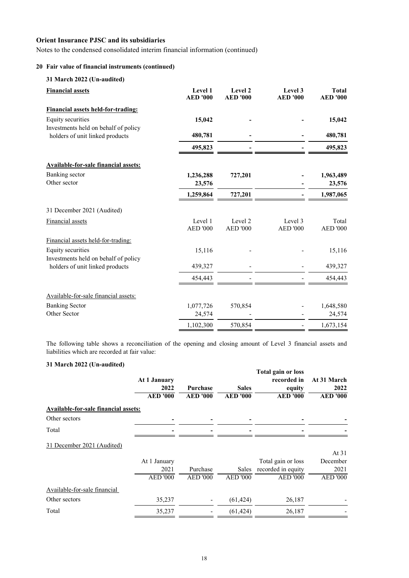Notes to the condensed consolidated interim financial information (continued)

# **20 Fair value of financial instruments (continued)**

|  | 31 March 2022 (Un-audited) |
|--|----------------------------|
|  |                            |

| <b>Financial assets</b>                                                 | Level 1<br><b>AED</b> '000 | Level 2<br><b>AED</b> '000 | Level 3<br><b>AED</b> '000 | <b>Total</b><br><b>AED '000</b> |
|-------------------------------------------------------------------------|----------------------------|----------------------------|----------------------------|---------------------------------|
| <b>Financial assets held-for-trading:</b>                               |                            |                            |                            |                                 |
| Equity securities                                                       | 15,042                     |                            |                            | 15,042                          |
| Investments held on behalf of policy<br>holders of unit linked products | 480,781                    |                            |                            | 480,781                         |
|                                                                         | 495,823                    |                            |                            | 495,823                         |
| <b>Available-for-sale financial assets:</b>                             |                            |                            |                            |                                 |
| Banking sector                                                          | 1,236,288                  | 727,201                    |                            | 1,963,489                       |
| Other sector                                                            | 23,576                     |                            |                            | 23,576                          |
|                                                                         | 1,259,864                  | 727,201                    |                            | 1,987,065                       |
| 31 December 2021 (Audited)                                              |                            |                            |                            |                                 |
| <b>Financial</b> assets                                                 | Level 1<br><b>AED '000</b> | Level 2<br><b>AED '000</b> | Level 3<br><b>AED '000</b> | Total<br><b>AED '000</b>        |
| Financial assets held-for-trading:                                      |                            |                            |                            |                                 |
| Equity securities                                                       | 15,116                     |                            |                            | 15,116                          |
| Investments held on behalf of policy<br>holders of unit linked products | 439,327                    |                            |                            | 439,327                         |
|                                                                         | 454,443                    |                            |                            | 454,443                         |
| Available-for-sale financial assets:                                    |                            |                            |                            |                                 |
| <b>Banking Sector</b>                                                   | 1,077,726                  | 570,854                    |                            | 1,648,580                       |
| Other Sector                                                            | 24,574                     |                            |                            | 24,574                          |
|                                                                         | 1,102,300                  | 570,854                    |                            | 1,673,154                       |

The following table shows a reconciliation of the opening and closing amount of Level 3 financial assets and liabilities which are recorded at fair value:

# **31 March 2022 (Un-audited)**

| $\sigma$ is that can go go $\sigma$ (can addition) | At 1 January<br>2022<br><b>AED</b> '000 | <b>Purchase</b><br><b>AED</b> '000 | <b>Sales</b><br><b>AED</b> '000 | <b>Total gain or loss</b><br>recorded in<br>equity<br><b>AED '000</b> | At 31 March<br>2022<br><b>AED</b> '000 |
|----------------------------------------------------|-----------------------------------------|------------------------------------|---------------------------------|-----------------------------------------------------------------------|----------------------------------------|
| <b>Available-for-sale financial assets:</b>        |                                         |                                    |                                 |                                                                       |                                        |
| Other sectors                                      |                                         |                                    |                                 |                                                                       |                                        |
| Total                                              |                                         |                                    |                                 |                                                                       |                                        |
| 31 December 2021 (Audited)                         |                                         |                                    |                                 |                                                                       |                                        |
|                                                    | At 1 January                            |                                    |                                 | Total gain or loss                                                    | At $31$<br>December                    |
|                                                    | 2021                                    | Purchase                           | Sales                           | recorded in equity                                                    | 2021                                   |
|                                                    | <b>AED '000</b>                         | <b>AED '000</b>                    | <b>AED '000</b>                 | <b>AED '000</b>                                                       | <b>AED '000</b>                        |
| Available-for-sale financial                       |                                         |                                    |                                 |                                                                       |                                        |
| Other sectors                                      | 35,237                                  |                                    | (61, 424)                       | 26,187                                                                |                                        |
| Total                                              | 35,237                                  |                                    | (61, 424)                       | 26,187                                                                |                                        |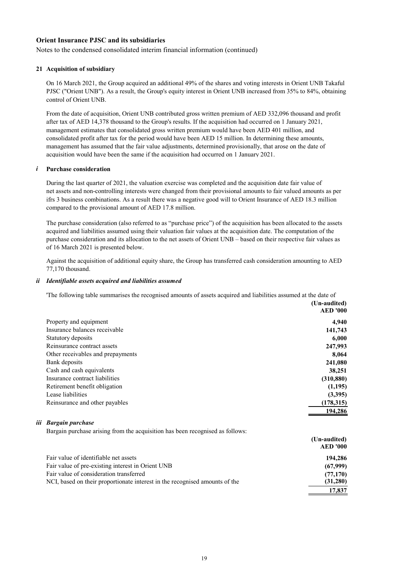Notes to the condensed consolidated interim financial information (continued)

# **21 Acquisition of subsidiary**

On 16 March 2021, the Group acquired an additional 49% of the shares and voting interests in Orient UNB Takaful PJSC ("Orient UNB"). As a result, the Group's equity interest in Orient UNB increased from 35% to 84%, obtaining control of Orient UNB.

From the date of acquisition, Orient UNB contributed gross written premium of AED 332,096 thousand and profit after tax of AED 14,378 thousand to the Group's results. If the acquisition had occurred on 1 January 2021, management estimates that consolidated gross written premium would have been AED 401 million, and consolidated profit after tax for the period would have been AED 15 million. In determining these amounts, management has assumed that the fair value adjustments, determined provisionally, that arose on the date of acquisition would have been the same if the acquisition had occurred on 1 January 2021.

# *i* **Purchase consideration**

During the last quarter of 2021, the valuation exercise was completed and the acquisition date fair value of net assets and non-controlling interests were changed from their provisional amounts to fair valued amounts as per ifrs 3 business combinations. As a result there was a negative good will to Orient Insurance of AED 18.3 million compared to the provisional amount of AED 17.8 million.

The purchase consideration (also referred to as "purchase price") of the acquisition has been allocated to the assets acquired and liabilities assumed using their valuation fair values at the acquisition date. The computation of the purchase consideration and its allocation to the net assets of Orient UNB – based on their respective fair values as of 16 March 2021 is presented below.

Against the acquisition of additional equity share, the Group has transferred cash consideration amounting to AED 77,170 thousand.

#### *ii Identifiable assets acquired and liabilities assumed*

'The following table summarises the recognised amounts of assets acquired and liabilities assumed at the date of

|                                   | (Un-audited)    |
|-----------------------------------|-----------------|
|                                   | <b>AED '000</b> |
| Property and equipment            | 4,940           |
| Insurance balances receivable     | 141,743         |
| Statutory deposits                | 6,000           |
| Reinsurance contract assets       | 247,993         |
| Other receivables and prepayments | 8,064           |
| Bank deposits                     | 241,080         |
| Cash and cash equivalents         | 38,251          |
| Insurance contract liabilities    | (310, 880)      |
| Retirement benefit obligation     | (1,195)         |
| Lease liabilities                 | (3,395)         |
| Reinsurance and other payables    | (178, 315)      |
|                                   | 194.286         |

# *iii Bargain purchase*

Bargain purchase arising from the acquisition has been recognised as follows:

|                                                                             | (Un-audited)    |
|-----------------------------------------------------------------------------|-----------------|
|                                                                             | <b>AED '000</b> |
| Fair value of identifiable net assets                                       | 194,286         |
| Fair value of pre-existing interest in Orient UNB                           | (67,999)        |
| Fair value of consideration transferred                                     | (77,170)        |
| NCI, based on their proportionate interest in the recognised amounts of the | (31,280)        |
|                                                                             | 17.837          |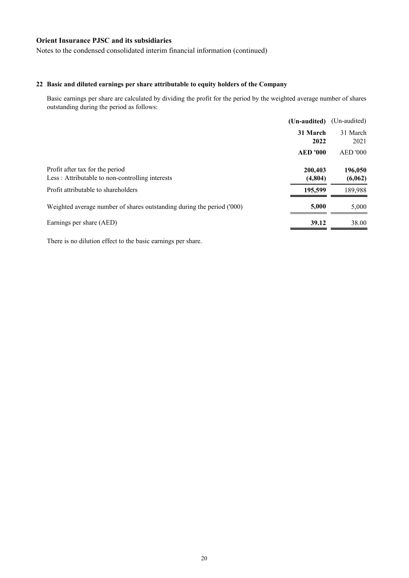Notes to the condensed consolidated interim financial information (continued)

# **22 Basic and diluted earnings per share attributable to equity holders of the Company**

Basic earnings per share are calculated by dividing the profit for the period by the weighted average number of shares outstanding during the period as follows:

|                                                                                    | (Un-audited)       | (Un-audited)       |
|------------------------------------------------------------------------------------|--------------------|--------------------|
|                                                                                    | 31 March<br>2022   | 31 March<br>2021   |
|                                                                                    | <b>AED '000</b>    | <b>AED '000</b>    |
| Profit after tax for the period<br>Less: Attributable to non-controlling interests | 200,403<br>(4,804) | 196,050<br>(6,062) |
| Profit attributable to shareholders                                                | 195,599            | 189,988            |
| Weighted average number of shares outstanding during the period ('000)             | 5,000              | 5,000              |
| Earnings per share (AED)                                                           | 39.12              | 38.00              |

There is no dilution effect to the basic earnings per share.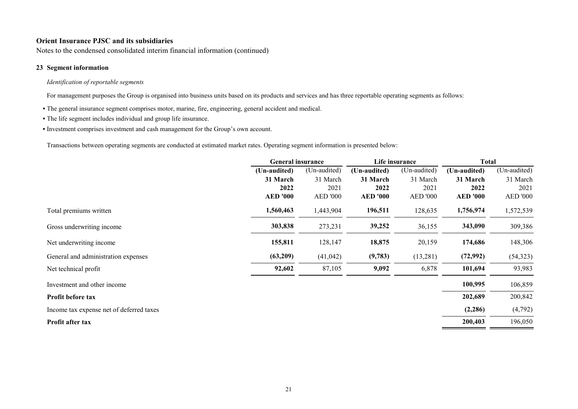Notes to the condensed consolidated interim financial information (continued)

# **23 Segment information**

# *Identification of reportable segments*

For management purposes the Group is organised into business units based on its products and services and has three reportable operating segments as follows:

- **•** The general insurance segment comprises motor, marine, fire, engineering, general accident and medical.
- **•** The life segment includes individual and group life insurance.
- **•** Investment comprises investment and cash management for the Group's own account.

Transactions between operating segments are conducted at estimated market rates. Operating segment information is presented below:

| (Un-audited)<br>(Un-audited)<br>(Un-audited)<br>(Un-audited)<br>(Un-audited)                      | (Un-audited)    |
|---------------------------------------------------------------------------------------------------|-----------------|
|                                                                                                   |                 |
| 31 March<br>31 March<br>31 March<br>31 March<br>31 March                                          | 31 March        |
| 2022<br>2021<br>2022<br>2021<br>2022                                                              | 2021            |
| <b>AED '000</b><br><b>AED</b> '000<br><b>AED '000</b><br><b>AED '000</b><br><b>AED '000</b>       | <b>AED '000</b> |
| 1,560,463<br>1,443,904<br>128,635<br>196,511<br>1,756,974<br>Total premiums written               | 1,572,539       |
| 273,231<br>303,838<br>39,252<br>36,155<br>343,090<br>Gross underwriting income                    | 309,386         |
| 155,811<br>18,875<br>174,686<br>128,147<br>20,159<br>Net underwriting income                      | 148,306         |
| (63,209)<br>(9,783)<br>(13, 281)<br>(72, 992)<br>(41, 042)<br>General and administration expenses | (54, 323)       |
| 92,602<br>9,092<br>101,694<br>87,105<br>6,878<br>Net technical profit                             | 93,983          |
| 100,995<br>Investment and other income                                                            | 106,859         |
| 202,689<br>Profit before tax                                                                      | 200,842         |
| (2,286)<br>Income tax expense net of deferred taxes                                               | (4,792)         |
| 200,403<br>Profit after tax                                                                       | 196,050         |